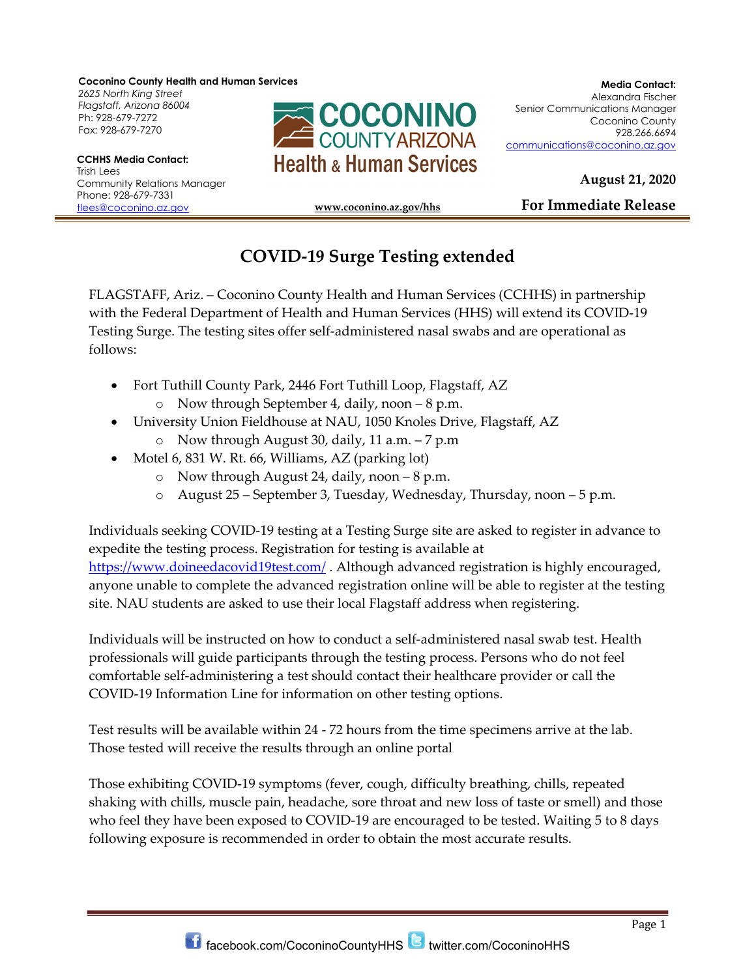Coconino County Health and Human Services

2625 North King Street Ph: 928-679-7272 Fax: 928-679-7270

Trish Lees Community Relations Manager Phone: 928-679-7331 tlees@coconino.az.gov



August 21, 2020

For Immediate Release

## www.coconino.az.gov/hhs í

## COVID-19 Surge Testing extended

FLAGSTAFF, Ariz. – Coconino County Health and Human Services (CCHHS) in partnership with the Federal Department of Health and Human Services (HHS) will extend its COVID-19 Testing Surge. The testing sites offer self-administered nasal swabs and are operational as follows:

- Fort Tuthill County Park, 2446 Fort Tuthill Loop, Flagstaff, AZ o Now through September 4, daily, noon – 8 p.m.
- University Union Fieldhouse at NAU, 1050 Knoles Drive, Flagstaff, AZ
	- o Now through August 30, daily, 11 a.m. 7 p.m
- Motel 6, 831 W. Rt. 66, Williams, AZ (parking lot)
	- o Now through August 24, daily, noon 8 p.m.
	- o August 25 September 3, Tuesday, Wednesday, Thursday, noon 5 p.m.

Individuals seeking COVID-19 testing at a Testing Surge site are asked to register in advance to expedite the testing process. Registration for testing is available at https://www.doineedacovid19test.com/. Although advanced registration is highly encouraged, anyone unable to complete the advanced registration online will be able to register at the testing site. NAU students are asked to use their local Flagstaff address when registering.

Individuals will be instructed on how to conduct a self-administered nasal swab test. Health professionals will guide participants through the testing process. Persons who do not feel comfortable self-administering a test should contact their healthcare provider or call the COVID-19 Information Line for information on other testing options.

Test results will be available within 24 - 72 hours from the time specimens arrive at the lab. Those tested will receive the results through an online portal

Those exhibiting COVID-19 symptoms (fever, cough, difficulty breathing, chills, repeated shaking with chills, muscle pain, headache, sore throat and new loss of taste or smell) and those who feel they have been exposed to COVID-19 are encouraged to be tested. Waiting 5 to 8 days following exposure is recommended in order to obtain the most accurate results.